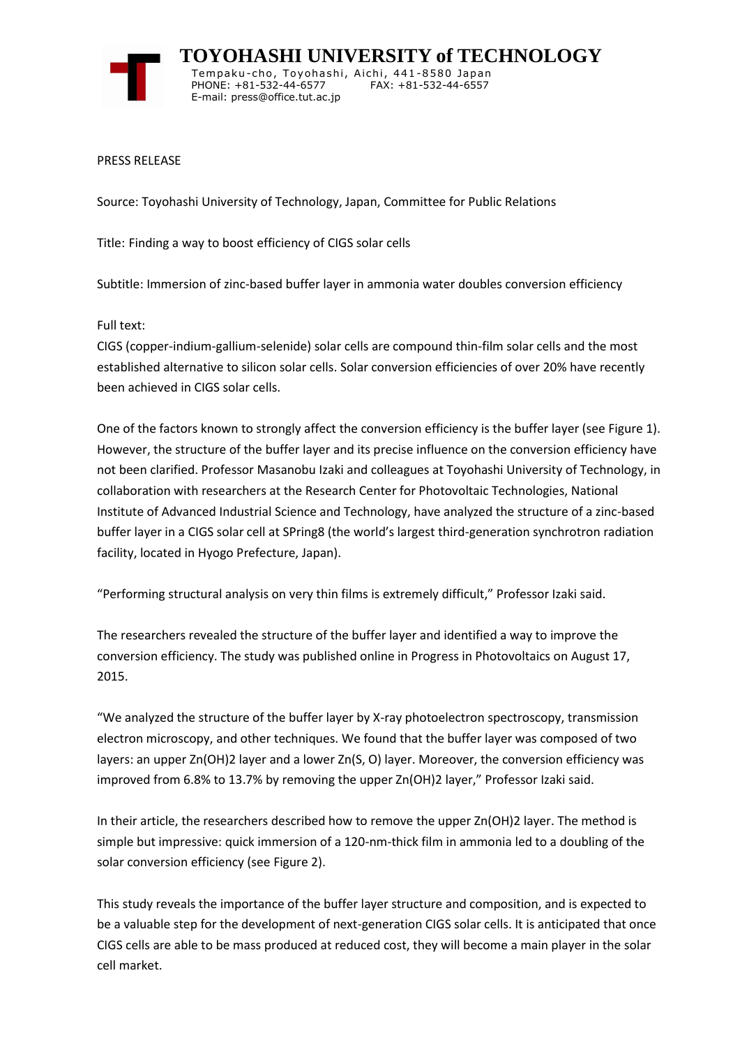

 **TOYOHASHI UNIVERSITY of TECHNOLOGY** Tempaku-cho, Toyohashi, Aichi, 441-8580 Japan PHONE: +81-532-44-6577 FAX: +81-532-44-6557 E-mail: press@office.tut.ac.jp

PRESS RELEASE

Source: Toyohashi University of Technology, Japan, Committee for Public Relations

Title: Finding a way to boost efficiency of CIGS solar cells

Subtitle: Immersion of zinc-based buffer layer in ammonia water doubles conversion efficiency

Full text:

CIGS (copper-indium-gallium-selenide) solar cells are compound thin-film solar cells and the most established alternative to silicon solar cells. Solar conversion efficiencies of over 20% have recently been achieved in CIGS solar cells.

One of the factors known to strongly affect the conversion efficiency is the buffer layer (see Figure 1). However, the structure of the buffer layer and its precise influence on the conversion efficiency have not been clarified. Professor Masanobu Izaki and colleagues at Toyohashi University of Technology, in collaboration with researchers at the Research Center for Photovoltaic Technologies, National Institute of Advanced Industrial Science and Technology, have analyzed the structure of a zinc-based buffer layer in a CIGS solar cell at SPring8 (the world's largest third-generation synchrotron radiation facility, located in Hyogo Prefecture, Japan).

"Performing structural analysis on very thin films is extremely difficult," Professor Izaki said.

The researchers revealed the structure of the buffer layer and identified a way to improve the conversion efficiency. The study was published online in Progress in Photovoltaics on August 17, 2015.

"We analyzed the structure of the buffer layer by X-ray photoelectron spectroscopy, transmission electron microscopy, and other techniques. We found that the buffer layer was composed of two layers: an upper Zn(OH)2 layer and a lower Zn(S, O) layer. Moreover, the conversion efficiency was improved from 6.8% to 13.7% by removing the upper Zn(OH)2 layer," Professor Izaki said.

In their article, the researchers described how to remove the upper Zn(OH)2 layer. The method is simple but impressive: quick immersion of a 120-nm-thick film in ammonia led to a doubling of the solar conversion efficiency (see Figure 2).

This study reveals the importance of the buffer layer structure and composition, and is expected to be a valuable step for the development of next-generation CIGS solar cells. It is anticipated that once CIGS cells are able to be mass produced at reduced cost, they will become a main player in the solar cell market.